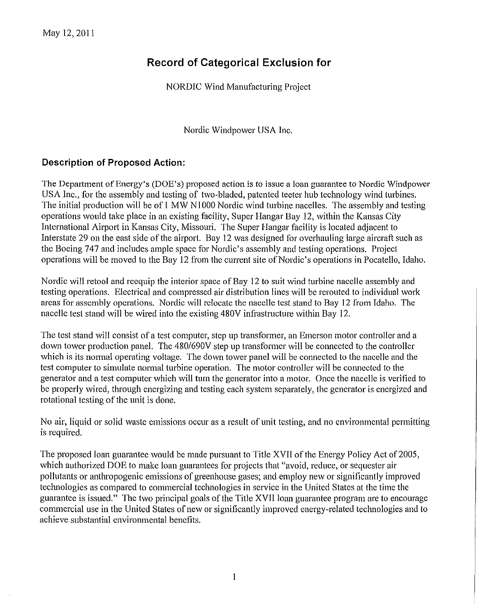## **Record of Categorical Exclusion for**

NORDIC Wind Manufacturing Project

Nordic Windpower USA Inc.

#### **Description of Proposed Action:**

The Department of Energy's (DOE's) proposed action is to issue a loan guarantee to Nordic Windpower USA Inc., for the assembly and testing of two-bladed, patented teeter hub technology wind turbines. The initial production will be of 1 MW N1000 Nordic wind turbine nacelles. The assembly and testing operations would take place in an existing facility, Super Hangar Bay 12, within the Kansas City International Airport in Kansas City, Missouri. The Super Hangar facility is located adjacent to Interstate 29 on the east side of the airport. Bay 12 was designed for overhauling large aircraft such as the Boeing 747 and includes ample space for Nordic's assembly and testing operations. Project operations will be moved to the Bay 12 from the current site of Nordic's operations in Pocatello, Idaho.

Nordic will retool and reequip the interior space of Bay 12 to suit wind turbine nacelle assembly and testing operations. Electrical and compressed air distribution lines will be rerouted to individual work areas for assembly operations. Nordic will relocate the nacelle test stand to Bay 12 from Idaho. The nacelle test stand will be wired into the existing 480V infrastructure within Bay 12.

The test stand will consist of a test computer, step up transformer, an Emerson motor controller and a down tower production panel. The *4801690V* step up transformer will be connected to the controller which is its normal operating voltage. The down tower panel will be connected to the nacelle and the test computer to simulate normal turbine operation. The motor controller will be connected to the generator and a test computer which will turn the generator into a motor. Once the nacelle is verified to be properly wired, through energizing and testing each system separately, the generator is energized and rotational testing of the unit is done.

No air, liquid or solid waste emissions occur as a result of unit testing, and no environmental permitting is required.

The proposed loan guarantee would be made pursuant to Title XVII of the Energy Policy Act of 2005, which authorized DOE to make loan guarantees for projects that "avoid, reduce, or sequester air pollutants or anthropogenic emissions of greenhouse gases; and employ new or significantly improved technologies as compared to commercial technologies in service in the United States at the time the guarantee is issued." The two principal goals of the Title XVII loan guarantee program are to encourage commercial use in the United States of new or significantly improved energy-related technologies and to achieve substantial environmental benefits.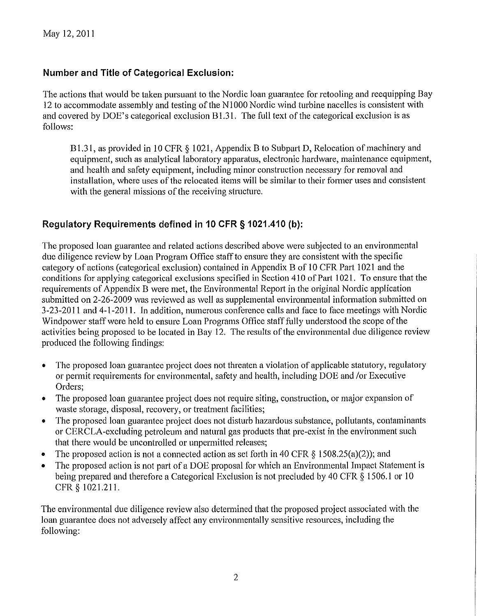### **Number and Title of Categorical Exclusion:**

The actions that would be taken pursuant to the Nordic loan guarantee for retooling and reequipping Bay 12 to accommodate assembly and testing of the NIOOO Nordic wind turbine nacelles is consistent with and covered by DOE's categorical exclusion B1.31. The full text of the categorical exclusion is as follows:

B1.31, as provided in 10 CFR § 1021, Appendix B to Subpart D, Relocation of machinery and equipment, such as analytical laboratory apparatus, electronic hardware, maintenance equipment, and health and safety equipment, including minor construction necessary for removal and installation, where uses of the relocated items will be similar to their former uses and consistent with the general missions of the receiving structure.

### **Regulatory Requirements defined in 10 CFR § 1021.410 (b):**

The proposed loan guarantee and related actions described above were subjected to an environmental due diligence review by Loan Program Office staff to ensure they are consistent with the specific category of actions (categorical exclusion) contained in Appendix B of 10 CFR Part 1021 and the conditions for applying categorical exclusions specified in Section 410 of Part 1021. To ensure that the requirements of Appendix B were met, the Environmental Report in the original Nordic application submitted on 2-26-2009 was reviewed as well as supplemental environmental information submitted on 3-23-20 II and 4-1-20 II. In addition, numerous conference calls and face to face meetings with Nordic Windpower staff were held to ensure Loan Programs Office staff fully understood the scope of the activities being proposed to be located in Bay 12. The results of the environmental due diligence review produced the following findings:

- The proposed loan guarantee project does not threaten a violation of applicable statutory, regulatory or pennit requirements for environmental, safety and health, including DOE and *lor* Executive Orders;
- The proposed loan guarantee project does not require siting, construction, or major expansion of waste storage, disposal, recovery, or treatment facilities;
- The proposed loan guarantee project does not disturb hazardous substance, pollutants, contaminants or CERCLA-excluding petroleum and natural gas products that pre-exist in the environment such that there would be uncontrolled or unpermitted releases;
- The proposed action is not a connected action as set forth in 40 CFR  $\S$  1508.25(a)(2)); and
- The proposed action is not part of a DOE proposal for which an Environmental Impact Statement is being prepared and therefore a Categorical Exclusion is not precluded by 40 CFR § 1506.1 or 10 CFR § 1021.211.

The environmental due diligence review also determined that the proposed project associated with the loan guarantee does not adversely affect any environmentally sensitive resources, including the following: